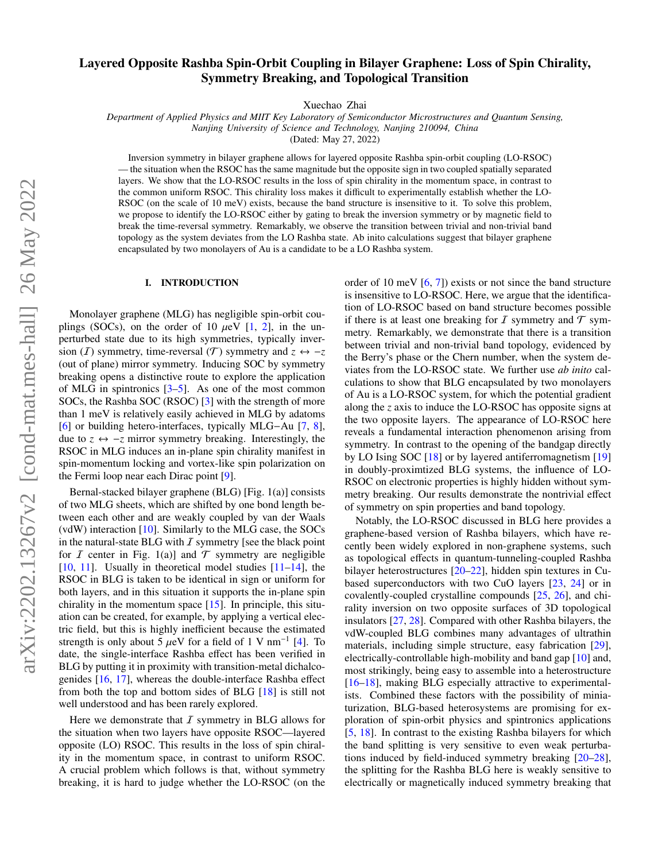# Layered Opposite Rashba Spin-Orbit Coupling in Bilayer Graphene: Loss of Spin Chirality, Symmetry Breaking, and Topological Transition

Xuechao Zhai

*Department of Applied Physics and MIIT Key Laboratory of Semiconductor Microstructures and Quantum Sensing, Nanjing University of Science and Technology, Nanjing 210094, China*

(Dated: May 27, 2022)

Inversion symmetry in bilayer graphene allows for layered opposite Rashba spin-orbit coupling (LO-RSOC) — the situation when the RSOC has the same magnitude but the opposite sign in two coupled spatially separated layers. We show that the LO-RSOC results in the loss of spin chirality in the momentum space, in contrast to the common uniform RSOC. This chirality loss makes it difficult to experimentally establish whether the LO-RSOC (on the scale of 10 meV) exists, because the band structure is insensitive to it. To solve this problem, we propose to identify the LO-RSOC either by gating to break the inversion symmetry or by magnetic field to break the time-reversal symmetry. Remarkably, we observe the transition between trivial and non-trivial band topology as the system deviates from the LO Rashba state. Ab inito calculations suggest that bilayer graphene encapsulated by two monolayers of Au is a candidate to be a LO Rashba system.

#### I. INTRODUCTION

Monolayer graphene (MLG) has negligible spin-orbit couplings (SOCs), on the order of 10  $\mu$ eV [\[1,](#page-5-0) [2\]](#page-5-1), in the unperturbed state due to its high symmetries, typically inversion (*I*) symmetry, time-reversal ( $T$ ) symmetry and  $z \leftrightarrow -z$ (out of plane) mirror symmetry. Inducing SOC by symmetry breaking opens a distinctive route to explore the application of MLG in spintronics [\[3–](#page-5-2)[5\]](#page-5-3). As one of the most common SOCs, the Rashba SOC (RSOC) [\[3\]](#page-5-2) with the strength of more than 1 meV is relatively easily achieved in MLG by adatoms [\[6\]](#page-5-4) or building hetero-interfaces, typically MLG−Au [\[7,](#page-5-5) [8\]](#page-5-6), due to  $z \leftrightarrow -z$  mirror symmetry breaking. Interestingly, the RSOC in MLG induces an in-plane spin chirality manifest in spin-momentum locking and vortex-like spin polarization on the Fermi loop near each Dirac point [\[9\]](#page-5-7).

Bernal-stacked bilayer graphene (BLG) [Fig. 1(a)] consists of two MLG sheets, which are shifted by one bond length between each other and are weakly coupled by van der Waals (vdW) interaction [\[10\]](#page-5-8). Similarly to the MLG case, the SOCs in the natural-state BLG with  $I$  symmetry [see the black point for *I* center in Fig. 1(a)] and  $\mathcal T$  symmetry are negligible [\[10,](#page-5-8) [11\]](#page-5-9). Usually in theoretical model studies [\[11](#page-5-9)[–14\]](#page-5-10), the RSOC in BLG is taken to be identical in sign or uniform for both layers, and in this situation it supports the in-plane spin chirality in the momentum space [\[15\]](#page-5-11). In principle, this situation can be created, for example, by applying a vertical electric field, but this is highly inefficient because the estimated strength is only about 5  $\mu$ eV for a field of 1 V nm<sup>-1</sup> [\[4\]](#page-5-12). To date the single-interface Rashba effect has been verified in date, the single-interface Rashba effect has been verified in BLG by putting it in proximity with transition-metal dichalcogenides [\[16,](#page-5-13) [17\]](#page-5-14), whereas the double-interface Rashba effect from both the top and bottom sides of BLG [\[18\]](#page-5-15) is still not well understood and has been rarely explored.

Here we demonstrate that  $I$  symmetry in BLG allows for the situation when two layers have opposite RSOC—layered opposite (LO) RSOC. This results in the loss of spin chirality in the momentum space, in contrast to uniform RSOC. A crucial problem which follows is that, without symmetry breaking, it is hard to judge whether the LO-RSOC (on the order of 10 meV [\[6,](#page-5-4) [7\]](#page-5-5)) exists or not since the band structure is insensitive to LO-RSOC. Here, we argue that the identification of LO-RSOC based on band structure becomes possible if there is at least one breaking for  $I$  symmetry and  $\mathcal T$  symmetry. Remarkably, we demonstrate that there is a transition between trivial and non-trivial band topology, evidenced by the Berry's phase or the Chern number, when the system deviates from the LO-RSOC state. We further use *ab inito* calculations to show that BLG encapsulated by two monolayers of Au is a LO-RSOC system, for which the potential gradient along the *z* axis to induce the LO-RSOC has opposite signs at the two opposite layers. The appearance of LO-RSOC here reveals a fundamental interaction phenomenon arising from symmetry. In contrast to the opening of the bandgap directly by LO Ising SOC [\[18\]](#page-5-15) or by layered antiferromagnetism [\[19\]](#page-5-16) in doubly-proximtized BLG systems, the influence of LO-RSOC on electronic properties is highly hidden without symmetry breaking. Our results demonstrate the nontrivial effect of symmetry on spin properties and band topology.

Notably, the LO-RSOC discussed in BLG here provides a graphene-based version of Rashba bilayers, which have recently been widely explored in non-graphene systems, such as topological effects in quantum-tunneling-coupled Rashba bilayer heterostructures [\[20–](#page-5-17)[22\]](#page-6-0), hidden spin textures in Cubased superconductors with two CuO layers [\[23,](#page-6-1) [24\]](#page-6-2) or in covalently-coupled crystalline compounds [\[25,](#page-6-3) [26\]](#page-6-4), and chirality inversion on two opposite surfaces of 3D topological insulators [\[27,](#page-6-5) [28\]](#page-6-6). Compared with other Rashba bilayers, the vdW-coupled BLG combines many advantages of ultrathin materials, including simple structure, easy fabrication [\[29\]](#page-6-7), electrically-controllable high-mobility and band gap [\[10\]](#page-5-8) and, most strikingly, being easy to assemble into a heterostructure [\[16](#page-5-13)[–18\]](#page-5-15), making BLG especially attractive to experimentalists. Combined these factors with the possibility of miniaturization, BLG-based heterosystems are promising for exploration of spin-orbit physics and spintronics applications [\[5,](#page-5-3) [18\]](#page-5-15). In contrast to the existing Rashba bilayers for which the band splitting is very sensitive to even weak perturbations induced by field-induced symmetry breaking [\[20](#page-5-17)[–28\]](#page-6-6), the splitting for the Rashba BLG here is weakly sensitive to electrically or magnetically induced symmetry breaking that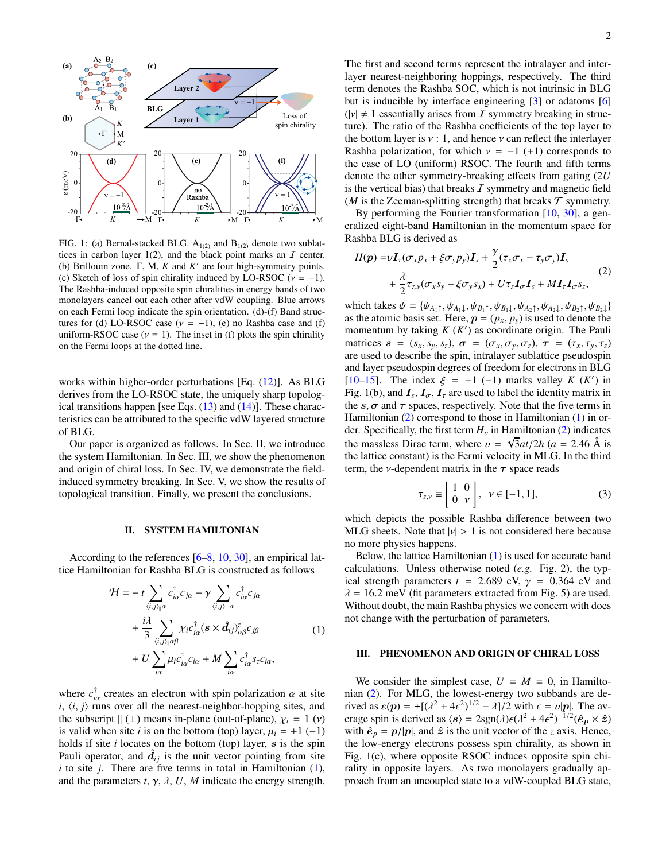

FIG. 1: (a) Bernal-stacked BLG.  $A_{1(2)}$  and  $B_{1(2)}$  denote two sublattices in carbon layer  $1(2)$ , and the black point marks an  $I$  center. (b) Brillouin zone.  $\Gamma$ , M, K and  $K'$  are four high-symmetry points. (c) Sketch of loss of spin chirality induced by LO-RSOC ( $v = -1$ ). The Rashba-induced opposite spin chiralities in energy bands of two monolayers cancel out each other after vdW coupling. Blue arrows on each Fermi loop indicate the spin orientation. (d)-(f) Band structures for (d) LO-RSOC case ( $v = -1$ ), (e) no Rashba case and (f) uniform-RSOC case  $(v = 1)$ . The inset in (f) plots the spin chirality on the Fermi loops at the dotted line.

works within higher-order perturbations [Eq. [\(12\)](#page-3-0)]. As BLG derives from the LO-RSOC state, the uniquely sharp topological transitions happen [see Eqs.  $(13)$  and  $(14)$ ]. These characteristics can be attributed to the specific vdW layered structure of BLG.

Our paper is organized as follows. In Sec. II, we introduce the system Hamiltonian. In Sec. III, we show the phenomenon and origin of chiral loss. In Sec. IV, we demonstrate the fieldinduced symmetry breaking. In Sec. V, we show the results of topological transition. Finally, we present the conclusions.

#### II. SYSTEM HAMILTONIAN

According to the references [\[6](#page-5-4)[–8,](#page-5-6) [10,](#page-5-8) [30\]](#page-6-8), an empirical lattice Hamiltonian for Rashba BLG is constructed as follows

<span id="page-1-0"></span>
$$
\mathcal{H} = -t \sum_{\langle i,j\rangle_{\parallel}a} c_{i\alpha}^{\dagger} c_{j\alpha} - \gamma \sum_{\langle i,j\rangle_{\perp}a} c_{i\alpha}^{\dagger} c_{j\alpha} \n+ \frac{i\lambda}{3} \sum_{\langle i,j\rangle_{\parallel}a\beta} \chi_i c_{i\alpha}^{\dagger} (s \times \hat{d}_{ij})_{\alpha\beta}^{\zeta} c_{j\beta} \n+ U \sum_{i\alpha} \mu_i c_{i\alpha}^{\dagger} c_{i\alpha} + M \sum_{i\alpha} c_{i\alpha}^{\dagger} s_z c_{i\alpha},
$$
\n(1)

where  $c_{i\alpha}^{\dagger}$  creates an electron with spin polarization  $\alpha$  at site  $i$ ,  $(i, j)$  runs over all the nearest-neighbor-bonning sites and *i*<sub>iα</sub> creates an electron with spin potarization a at site *i*,  $\langle i, j \rangle$  runs over all the nearest-neighbor-hopping sites, and the subscript  $\| (1)$  means in-plane (out-of-plane)  $v_i = 1$  (v) the subscript  $\|$  (⊥) means in-plane (out-of-plane),  $\chi_i = 1$  (*v*) is valid when site *i* is on the bottom (top) layer,  $\mu_i = +1$  (-1) holds if site  $i$  locates on the bottom (top) layer,  $s$  is the spin Pauli operator, and  $\hat{d}_{ij}$  is the unit vector pointing from site  $i$  to site  $j$ . There are five terms in total in Hamiltonian  $(1)$ , and the parameters  $t$ ,  $\gamma$ ,  $\lambda$ ,  $U$ ,  $M$  indicate the energy strength.

The first and second terms represent the intralayer and interlayer nearest-neighboring hoppings, respectively. The third term denotes the Rashba SOC, which is not intrinsic in BLG but is inducible by interface engineering [\[3\]](#page-5-2) or adatoms [\[6\]](#page-5-4)  $(|v| \neq 1$  essentially arises from *I* symmetry breaking in structure). The ratio of the Rashba coefficients of the top layer to the bottom layer is  $v : 1$ , and hence  $v$  can reflect the interlayer Rashba polarization, for which  $v = -1$  (+1) corresponds to the case of LO (uniform) RSOC. The fourth and fifth terms denote the other symmetry-breaking effects from gating (2*U* is the vertical bias) that breaks  $\bar{I}$  symmetry and magnetic field (*M* is the Zeeman-splitting strength) that breaks  $\mathcal T$  symmetry.

By performing the Fourier transformation [\[10,](#page-5-8) [30\]](#page-6-8), a generalized eight-band Hamiltonian in the momentum space for Rashba BLG is derived as

<span id="page-1-1"></span>
$$
H(p) = vI_{\tau}(\sigma_x p_x + \xi \sigma_y p_y)I_s + \frac{\gamma}{2}(\tau_x \sigma_x - \tau_y \sigma_y)I_s
$$
  
+ 
$$
\frac{\lambda}{2} \tau_{z,y}(\sigma_x s_y - \xi \sigma_y s_x) + U\tau_z I_{\sigma} I_s + M I_{\tau} I_{\sigma} s_z,
$$
 (2)

which takes  $\psi = {\psi_{A_1\uparrow}, \psi_{A_1\downarrow}, \psi_{B_1\uparrow}, \psi_{B_1\downarrow}, \psi_{A_2\uparrow}, \psi_{A_2\downarrow}, \psi_{B_2\uparrow}, \psi_{B_2\downarrow}}$ as the atomic basis set. Here,  $p = (p_x, p_y)$  is used to denote the momentum by taking  $K(K')$  as coordinate origin. The Pauli matrices  $\mathbf{s} = (s_x, s_y, s_z), \, \boldsymbol{\sigma} = (\sigma_x, \sigma_y, \sigma_z), \, \boldsymbol{\tau} = (\tau_x, \tau_y, \tau_z)$ are used to describe the spin, intralayer sublattice pseudospin and layer pseudospin degrees of freedom for electrons in BLG [\[10](#page-5-8)[–15\]](#page-5-11). The index  $\xi = +1$  (-1) marks valley *K* (*K'*) in<br>Fig. 1(b) and *L*, *L*, *L* are used to label the identity matrix in Fig. 1(b), and  $I_s$ ,  $I_{\sigma}$ ,  $I_{\tau}$  are used to label the identity matrix in the  $s \tau$  and  $\tau$  are used to propertively. Note that the five terms in the  $s, \sigma$  and  $\tau$  spaces, respectively. Note that the five terms in Hamiltonian [\(2\)](#page-1-1) correspond to those in Hamiltonian [\(1\)](#page-1-0) in order. Specifically, the first term  $H_v$  in Hamiltonian [\(2\)](#page-1-1) indicates<br>the maggless Directions where  $\frac{\sqrt{2}}{2}$  to  $\frac{(2\pi)(2\pi)}{2}$  (compatible) the massless Dirac term, where  $v = \sqrt{3}at/2\hbar$  ( $a = 2.46$  Å is<br>the lattice constant) is the Fermi velocity in MI G. In the third the lattice constant) is the Fermi velocity in MLG. In the third term, the *v*-dependent matrix in the  $\tau$  space reads

$$
\tau_{z,\nu} \equiv \begin{bmatrix} 1 & 0 \\ 0 & \nu \end{bmatrix}, \quad \nu \in [-1, 1], \tag{3}
$$

which depicts the possible Rashba difference between two MLG sheets. Note that  $|v| > 1$  is not considered here because no more physics happens.

Below, the lattice Hamiltonian [\(1\)](#page-1-0) is used for accurate band calculations. Unless otherwise noted (*e.g.* Fig. 2), the typical strength parameters  $t = 2.689$  eV,  $\gamma = 0.364$  eV and  $\lambda = 16.2$  meV (fit parameters extracted from Fig. 5) are used. Without doubt, the main Rashba physics we concern with does not change with the perturbation of parameters.

#### III. PHENOMENON AND ORIGIN OF CHIRAL LOSS

We consider the simplest case,  $U = M = 0$ , in Hamiltonian [\(2\)](#page-1-1). For MLG, the lowest-energy two subbands are derived as  $\varepsilon(p) = \pm [(\lambda^2 + 4\epsilon^2)^{1/2} - \lambda]/2$  with  $\epsilon = v|p|$ . The average spin is derived as  $\langle s \rangle = 2\text{sgn}(\lambda)\epsilon(\lambda^2 + 4\epsilon^2)^{-1/2}(\hat{e}_{\alpha} \times \hat{z})$ erage spin is derived as  $\langle s \rangle = 2\text{sgn}(\lambda)\epsilon(\lambda^2 + 4\epsilon^2)^{-1/2}(\hat{e}_p \times \hat{z})$ <br>with  $\hat{e} = n/|n|$  and  $\hat{z}$  is the unit vector of the z axis. Hence with  $\hat{e}_p = p/|p|$ , and  $\hat{z}$  is the unit vector of the *z* axis. Hence, the low-energy electrons possess spin chirality, as shown in Fig. 1(c), where opposite RSOC induces opposite spin chirality in opposite layers. As two monolayers gradually approach from an uncoupled state to a vdW-coupled BLG state,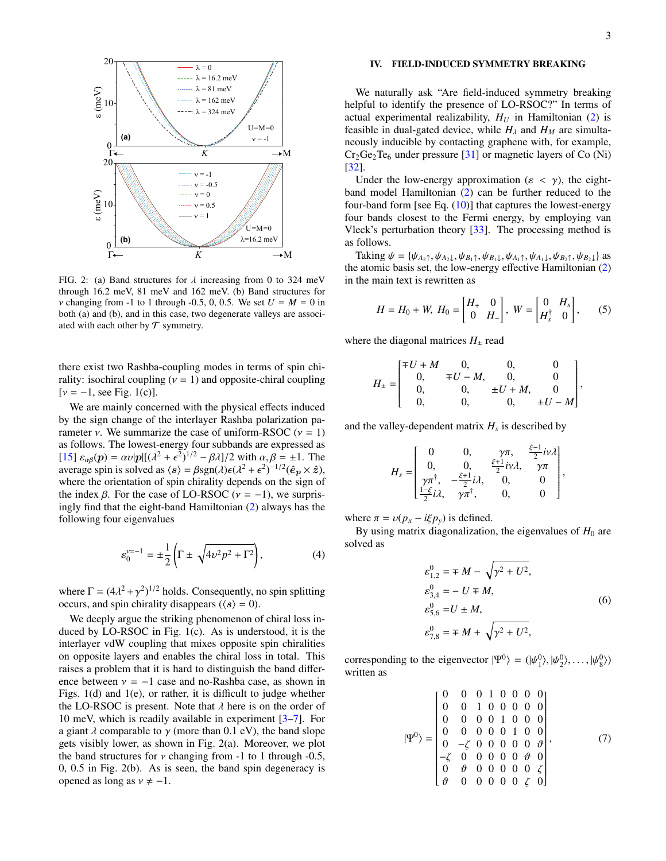

FIG. 2: (a) Band structures for  $\lambda$  increasing from 0 to 324 meV through 16.2 meV, 81 meV and 162 meV. (b) Band structures for *v* changing from -1 to 1 through -0.5, 0, 0.5. We set  $U = M = 0$  in both (a) and (b), and in this case, two degenerate valleys are associated with each other by  $\mathcal T$  symmetry.

there exist two Rashba-coupling modes in terms of spin chirality: isochiral coupling  $(v = 1)$  and opposite-chiral coupling  $[\nu = -1, \text{ see Fig. 1(c)}].$ 

We are mainly concerned with the physical effects induced by the sign change of the interlayer Rashba polarization parameter *ν*. We summarize the case of uniform-RSOC ( $\nu = 1$ ) as follows. The lowest-energy four subbands are expressed as [\[15\]](#page-5-11)  $\varepsilon_{\alpha\beta}(p) = \alpha v|p|[(\lambda^2 + \epsilon^2)^{1/2} - \beta \lambda]/2$  with  $\alpha, \beta = \pm 1$ . The average spin is solved as  $\langle s \rangle = \beta \text{sgn}(\lambda)\epsilon(\lambda^2 + \epsilon^2)^{-1/2}(\hat{e}_x \times \hat{z})$ average spin is solved as  $\langle s \rangle = \beta \text{sgn}(\lambda)\epsilon(\lambda^2 + \epsilon^2)^{-1/2}(\hat{e}_p \times \hat{z})$ ,<br>where the orientation of spin chirality depends on the sign of where the orientation of spin chirality depends on the sign of the index β. For the case of LO-RSOC ( $ν = -1$ ), we surprisingly find that the eight-band Hamiltonian [\(2\)](#page-1-1) always has the following four eigenvalues

<span id="page-2-0"></span>
$$
\varepsilon_0^{\nu=-1} = \pm \frac{1}{2} \left( \Gamma \pm \sqrt{4\nu^2 p^2 + \Gamma^2} \right),\tag{4}
$$

where  $\Gamma = (4\lambda^2 + \gamma^2)^{1/2}$  holds. Consequently, no spin splitting<br>occurs, and spin chirality disappears  $((s) - 0)$ occurs, and spin chirality disappears ( $\langle s \rangle = 0$ ).

We deeply argue the striking phenomenon of chiral loss induced by LO-RSOC in Fig. 1(c). As is understood, it is the interlayer vdW coupling that mixes opposite spin chiralities on opposite layers and enables the chiral loss in total. This raises a problem that it is hard to distinguish the band difference between  $v = -1$  case and no-Rashba case, as shown in Figs. 1(d) and 1(e), or rather, it is difficult to judge whether the LO-RSOC is present. Note that  $\lambda$  here is on the order of 10 meV, which is readily available in experiment [\[3–](#page-5-2)[7\]](#page-5-5). For a giant  $\lambda$  comparable to  $\gamma$  (more than 0.1 eV), the band slope gets visibly lower, as shown in Fig. 2(a). Moreover, we plot the band structures for  $\nu$  changing from -1 to 1 through -0.5, 0, 0.5 in Fig. 2(b). As is seen, the band spin degeneracy is opened as long as  $v \neq -1$ .

#### IV. FIELD-INDUCED SYMMETRY BREAKING

We naturally ask "Are field-induced symmetry breaking helpful to identify the presence of LO-RSOC?" In terms of actual experimental realizability,  $H_U$  in Hamiltonian [\(2\)](#page-1-1) is feasible in dual-gated device, while  $H_{\lambda}$  and  $H_{M}$  are simultaneously inducible by contacting graphene with, for example,  $Cr_2Ge_2Te_6$  under pressure [\[31\]](#page-6-9) or magnetic layers of Co (Ni) [\[32\]](#page-6-10).

Under the low-energy approximation ( $\varepsilon < \gamma$ ), the eightband model Hamiltonian [\(2\)](#page-1-1) can be further reduced to the four-band form [see Eq.  $(10)$ ] that captures the lowest-energy four bands closest to the Fermi energy, by employing van Vleck's perturbation theory  $[33]$ . The processing method is as follows.

Taking  $\psi = {\psi_{A_2\uparrow}, \psi_{A_2\downarrow}, \psi_{B_1\uparrow}, \psi_{B_1\downarrow}, \psi_{A_1\uparrow}, \psi_{A_1\downarrow}, \psi_{B_2\uparrow}, \psi_{B_2\downarrow}}$  as the atomic basis set, the low-energy effective Hamiltonian [\(2\)](#page-1-1) in the main text is rewritten as

$$
H = H_0 + W, H_0 = \begin{bmatrix} H_+ & 0 \\ 0 & H_- \end{bmatrix}, W = \begin{bmatrix} 0 & H_s \\ H_s^{\dagger} & 0 \end{bmatrix}, \qquad (5)
$$

where the diagonal matrices  $H_{\pm}$  read

$$
H_{\pm} = \begin{bmatrix} \mp U + M & 0, & 0, & 0 \\ 0, & \mp U - M, & 0, & 0 \\ 0, & 0, & \pm U + M, & 0 \\ 0, & 0, & 0, & \pm U - M \end{bmatrix},
$$

and the valley-dependent matrix  $H_s$  is described by

$$
H_s = \begin{bmatrix} 0 & 0, & \gamma \pi, & \frac{\xi - 1}{2} i \nu \lambda \\ 0, & 0, & \frac{\xi + 1}{2} i \nu \lambda, & \gamma \pi \\ \gamma \pi^{\dagger}, & -\frac{\xi + 1}{2} i \lambda, & 0, & 0 \\ \frac{1 - \xi}{2} i \lambda, & \gamma \pi^{\dagger}, & 0, & 0 \end{bmatrix},
$$

where  $\pi = v(p_x - i\xi p_y)$  is defined.

By using matrix diagonalization, the eigenvalues of  $H_0$  are solved as

$$
\varepsilon_{1,2}^{0} = \pm M - \sqrt{\gamma^{2} + U^{2}},
$$
  
\n
$$
\varepsilon_{3,4}^{0} = -U \pm M,
$$
  
\n
$$
\varepsilon_{5,6}^{0} = U \pm M,
$$
  
\n
$$
\varepsilon_{7,8}^{0} = \mp M + \sqrt{\gamma^{2} + U^{2}},
$$
\n(6)

corresponding to the eigenvector  $|\Psi^0\rangle = (|\psi^0_1\rangle, |\psi^0_2\rangle, \dots, |\psi^0_8\rangle)$ <br>written as written as

$$
|\Psi^{0}\rangle = \begin{bmatrix} 0 & 0 & 0 & 1 & 0 & 0 & 0 & 0 \\ 0 & 0 & 1 & 0 & 0 & 0 & 0 & 0 \\ 0 & 0 & 0 & 0 & 1 & 0 & 0 & 0 \\ 0 & 0 & 0 & 0 & 0 & 1 & 0 & 0 \\ 0 & -\zeta & 0 & 0 & 0 & 0 & 0 & \vartheta \\ -\zeta & 0 & 0 & 0 & 0 & 0 & \vartheta & 0 \\ 0 & \vartheta & 0 & 0 & 0 & 0 & 0 & \zeta \\ \vartheta & 0 & 0 & 0 & 0 & 0 & \zeta & 0 \end{bmatrix}, \qquad (7)
$$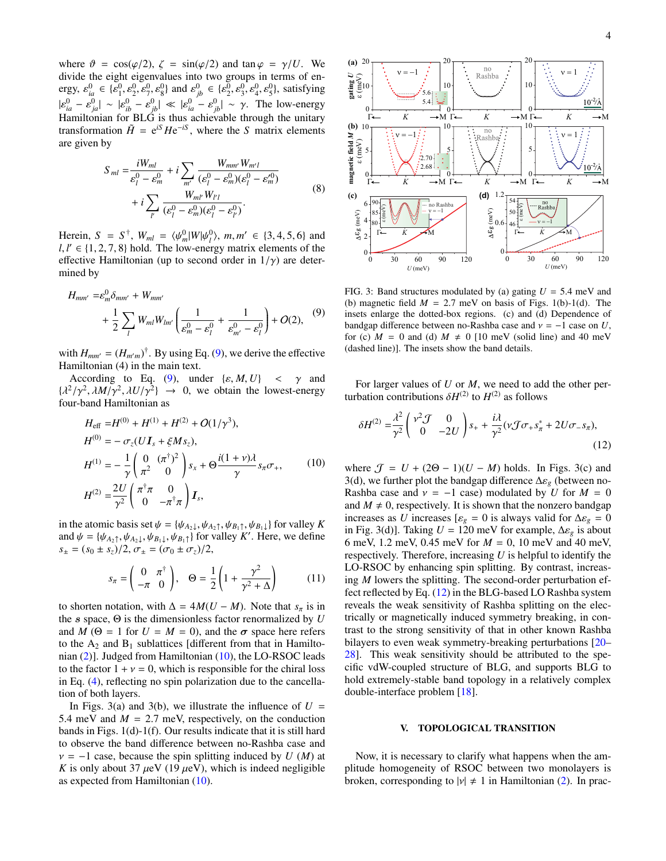where  $\vartheta = \cos(\varphi/2)$ ,  $\zeta = \sin(\varphi/2)$  and  $\tan \varphi = \gamma/U$ . We divide the eight eigenvalues into two groups in terms of energy,  $\varepsilon_{ia}^{0} \in {\{\varepsilon_{1}^{0}, \varepsilon_{2}^{0}, \varepsilon_{3}^{0}\}}$  and  $\varepsilon_{jb}^{0} \in {\{\varepsilon_{2}^{0}, \varepsilon_{3}^{0}, \varepsilon_{4}^{0}, \varepsilon_{5}^{0}\}}$ , satisfying  $|\varepsilon_{ia}^0 - \varepsilon_{ja}^0| \sim |\varepsilon_{ib}^0 - \varepsilon_{jb}^0| \ll |\varepsilon_{ia}^0 - \varepsilon_{jb}^0| \sim \gamma$ . The low-energy Hamiltonian for BLG is thus achievable through the unitary transformation  $\tilde{H} = e^{iS} H e^{-iS}$ , where the *S* matrix elements are given by

$$
S_{ml} = \frac{iW_{ml}}{\varepsilon_l^0 - \varepsilon_m^0} + i \sum_{m'} \frac{W_{mm'} W_{m'l'}}{(\varepsilon_l^0 - \varepsilon_m^0)(\varepsilon_l^0 - \varepsilon_m^{\prime 0})} + i \sum_{l'} \frac{W_{ml'} W_{l'l}}{(\varepsilon_l^0 - \varepsilon_m^0)(\varepsilon_l^0 - \varepsilon_{l'}^0)}.
$$
(8)

Herein,  $S = S^{\dagger}$ ,  $W_{ml} = \langle \psi_m^0 | W | \psi_l^0 \rangle$ ,  $m, m' \in \{3, 4, 5, 6\}$  and  $l, l' \in \{1, 2, 7, 8\}$  hold. The low-energy matrix elements of the *l*,  $l' \in \{1, 2, 7, 8\}$  hold. The low-energy matrix elements of the effective Hamiltonian (up to second order in  $1/\gamma$ ) are detereffective Hamiltonian (up to second order in  $1/\gamma$ ) are determined by

<span id="page-3-2"></span>
$$
H_{mm'} = \varepsilon_m^0 \delta_{mm'} + W_{mm'} + \frac{1}{2} \sum_l W_{ml} W_{lm'} \left( \frac{1}{\varepsilon_m^0 - \varepsilon_l^0} + \frac{1}{\varepsilon_{m'}^0 - \varepsilon_l^0} \right) + O(2), \quad (9)
$$

with  $H_{mm'} = (H_{m'm})^{\dagger}$ . By using Eq. [\(9\)](#page-3-2), we derive the effective Hamiltonian (4) in the main text.

According to Eq. [\(9\)](#page-3-2), under  $\{\varepsilon, M, U\}$  <  $\gamma$  and  $\{\lambda^2/\gamma^2, \lambda M/\gamma^2, \lambda U/\gamma^2\} \rightarrow 0$ , we obtain the lowest-energy four-band Hamiltonian as four-band Hamiltonian as

<span id="page-3-1"></span>
$$
H_{\text{eff}} = H^{(0)} + H^{(1)} + H^{(2)} + O(1/\gamma^3),
$$
  
\n
$$
H^{(0)} = -\sigma_z (UI_s + \xi M s_z),
$$
  
\n
$$
H^{(1)} = -\frac{1}{\gamma} \begin{pmatrix} 0 & (\pi^{\dagger})^2 \\ \pi^2 & 0 \end{pmatrix} s_x + \Theta \frac{i(1+\gamma)\lambda}{\gamma} s_{\pi} \sigma_+,
$$
\n(10)  
\n
$$
H^{(2)} = \frac{2U}{\gamma^2} \begin{pmatrix} \pi^{\dagger} \pi & 0 \\ 0 & -\pi^{\dagger} \pi \end{pmatrix} \mathbf{I}_s,
$$

in the atomic basis set  $\psi = {\psi_{A_2}}$ ,  ${\psi_{A_2}}$ ,  ${\psi_{B_1}}$ ,  ${\psi_{B_1}}$ } for valley *K* and  $\psi = {\psi_{A_2\uparrow}, \psi_{A_2\downarrow}, \psi_{B_1\downarrow}, \psi_{B_1\uparrow}}$  for valley *K'*. Here, we define  $s_{\pm} = (s_0 \pm s_z)/2, \sigma_{\pm} = (\sigma_0 \pm \sigma_z)/2,$ 

$$
s_{\pi} = \begin{pmatrix} 0 & \pi^{\dagger} \\ -\pi & 0 \end{pmatrix}, \quad \Theta = \frac{1}{2} \left( 1 + \frac{\gamma^2}{\gamma^2 + \Delta} \right) \tag{11}
$$

to shorten notation, with  $\Delta = 4M(U - M)$ . Note that  $s_{\pi}$  is in the s space,  $\Theta$  is the dimensionless factor renormalized by  $U$ and *M* ( $\Theta = 1$  for  $U = M = 0$ ), and the  $\sigma$  space here refers to the  $A_2$  and  $B_1$  sublattices [different from that in Hamiltonian [\(2\)](#page-1-1)]. Judged from Hamiltonian [\(10\)](#page-3-1), the LO-RSOC leads to the factor  $1 + v = 0$ , which is responsible for the chiral loss in Eq. [\(4\)](#page-2-0), reflecting no spin polarization due to the cancellation of both layers.

In Figs. 3(a) and 3(b), we illustrate the influence of  $U =$ 5.4 meV and  $M = 2.7$  meV, respectively, on the conduction bands in Figs. 1(d)-1(f). Our results indicate that it is still hard to observe the band difference between no-Rashba case and  $v = -1$  case, because the spin splitting induced by *U* (*M*) at *K* is only about 37  $\mu$ eV (19  $\mu$ eV), which is indeed negligible as expected from Hamiltonian [\(10\)](#page-3-1).



FIG. 3: Band structures modulated by (a) gating  $U = 5.4$  meV and (b) magnetic field  $M = 2.7$  meV on basis of Figs. 1(b)-1(d). The insets enlarge the dotted-box regions. (c) and (d) Dependence of bandgap difference between no-Rashba case and  $v = -1$  case on *U*, for (c)  $M = 0$  and (d)  $M \neq 0$  [10 meV (solid line) and 40 meV (dashed line)]. The insets show the band details.

For larger values of *U* or *M*, we need to add the other perturbation contributions  $\delta H^{(2)}$  to  $H^{(2)}$  as follows

<span id="page-3-0"></span>
$$
\delta H^{(2)} = \frac{\lambda^2}{\gamma^2} \begin{pmatrix} v^2 \mathcal{J} & 0\\ 0 & -2U \end{pmatrix} s_+ + \frac{i\lambda}{\gamma^2} (v \mathcal{J} \sigma_+ s_\pi^* + 2U \sigma_- s_\pi),\tag{12}
$$

where  $\mathcal{J} = U + (2\Theta - 1)(U - M)$  holds. In Figs. 3(c) and 3(d), we further plot the bandgap difference <sup>∆</sup>ε*<sup>g</sup>* (between no-Rashba case and  $v = -1$  case) modulated by *U* for  $M = 0$ and  $M \neq 0$ , respectively. It is shown that the nonzero bandgap increases as *U* increases  $[\varepsilon_g = 0]$  is always valid for  $\Delta \varepsilon_g = 0$ in Fig. 3(d)]. Taking  $U = 120$  meV for example,  $\Delta \varepsilon_g$  is about 6 meV, 1.2 meV, 0.45 meV for *M* = 0, 10 meV and 40 meV, respectively. Therefore, increasing *U* is helpful to identify the LO-RSOC by enhancing spin splitting. By contrast, increasing *M* lowers the splitting. The second-order perturbation effect reflected by Eq. [\(12\)](#page-3-0) in the BLG-based LO Rashba system reveals the weak sensitivity of Rashba splitting on the electrically or magnetically induced symmetry breaking, in contrast to the strong sensitivity of that in other known Rashba bilayers to even weak symmetry-breaking perturbations [\[20–](#page-5-17) [28\]](#page-6-6). This weak sensitivity should be attributed to the specific vdW-coupled structure of BLG, and supports BLG to hold extremely-stable band topology in a relatively complex double-interface problem [\[18\]](#page-5-15).

### V. TOPOLOGICAL TRANSITION

Now, it is necessary to clarify what happens when the amplitude homogeneity of RSOC between two monolayers is broken, corresponding to  $|v| \neq 1$  in Hamiltonian [\(2\)](#page-1-1). In prac-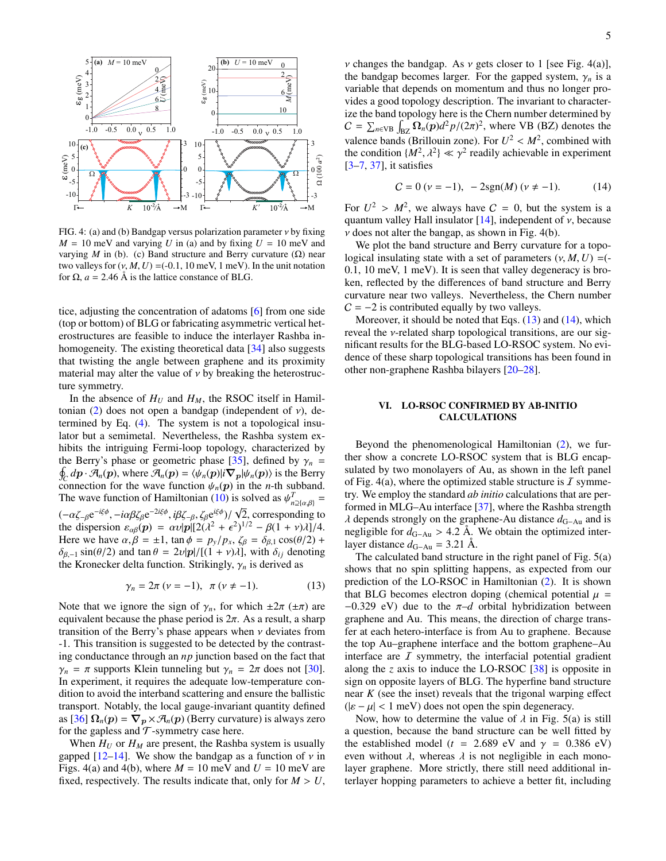

FIG. 4: (a) and (b) Bandgap versus polarization parameter  $\nu$  by fixing  $M = 10$  meV and varying *U* in (a) and by fixing  $U = 10$  meV and varying *M* in (b). (c) Band structure and Berry curvature  $(\Omega)$  near two valleys for  $(v, M, U) = (-0.1, 10 \text{ meV}, 1 \text{ meV})$ . In the unit notation for  $\Omega$ ,  $a = 2.46$  Å is the lattice constance of BLG.

tice, adjusting the concentration of adatoms [\[6\]](#page-5-4) from one side (top or bottom) of BLG or fabricating asymmetric vertical heterostructures are feasible to induce the interlayer Rashba in-homogeneity. The existing theoretical data [\[34\]](#page-6-12) also suggests that twisting the angle between graphene and its proximity material may alter the value of  $\nu$  by breaking the heterostructure symmetry.

In the absence of  $H_U$  and  $H_M$ , the RSOC itself in Hamil-tonian [\(2\)](#page-1-1) does not open a bandgap (independent of  $v$ ), determined by Eq. [\(4\)](#page-2-0). The system is not a topological insulator but a semimetal. Nevertheless, the Rashba system exhibits the intriguing Fermi-loop topology, characterized by the Berry's phase or geometric phase [[35\]](#page-6-13), defined by  $\gamma_n = \oint d\mathbf{n} \cdot \mathbf{A}(\mathbf{n})$  where  $\mathbf{A}(\mathbf{n}) = \langle \psi_n(\mathbf{n}) | i \nabla_n | \psi_n(\mathbf{n}) \rangle$  is the Berry  $\oint_C dp \cdot \overline{\mathcal{A}}_n(p)$ , where  $\overline{\mathcal{A}}_n(p) = \langle \psi_n(p)|i\nabla_p|\psi_n(p)\rangle$  is the Berry<br>connection for the wave function  $\psi_n(p)$  in the *n*-th subband connection for the wave function  $\psi_n(p)$  in the *n*-th subband. The wave function of Hamiltonian [\(10\)](#page-3-1) is solved as  $\psi_{n2(\alpha,\beta)}^T =$ *<sup>n</sup>*⊇{α,β}  $(-\alpha \zeta_{-\beta}e^{-i\xi\phi}, -i\alpha\beta \zeta_{\beta}e^{-2i\xi\phi}, i\beta \zeta_{-\beta}, \zeta_{\beta}e^{i\xi\phi})/\sqrt{\zeta_{\beta}^2}$ <br>the dispersion  $\varepsilon_{\alpha}(\eta) = \alpha \nu |\eta| \sqrt{2(3^2 + \epsilon^2)}$ 2, corresponding to the dispersion  $\varepsilon_{\alpha\beta}(p) = \alpha v|p| [2(\lambda^2 + \epsilon^2)^{1/2} - \beta(1 + v)\lambda]/4$ .<br>Here we have  $\alpha \beta = +1$  tan  $\phi = p \sqrt{p}$ ,  $\zeta_{\beta} = \delta_{\beta}$ ,  $\cos(\theta/2)$  + Here we have  $\alpha, \beta = \pm 1$ ,  $\tan \phi = p_y/p_x$ ,  $\zeta_\beta = \delta_{\beta,1} \cos(\theta/2)$  +  $\delta_{\beta,-1}$  sin( $\theta/2$ ) and tan  $\theta = 2\nu |\mathbf{p}|/[(1 + \nu)\lambda]$ , with  $\delta_{ij}$  denoting the Kronecker delta function. Strikingly,  $\gamma_n$  is derived as

<span id="page-4-0"></span>
$$
\gamma_n = 2\pi \ (\nu = -1), \ \pi \ (\nu \neq -1).
$$
 (13)

Note that we ignore the sign of  $\gamma_n$ , for which  $\pm 2\pi (\pm \pi)$  are equivalent because the phase period is  $2\pi$ . As a result, a sharp transition of the Berry's phase appears when  $\nu$  deviates from -1. This transition is suggested to be detected by the contrasting conductance through an *np* junction based on the fact that  $\gamma_n = \pi$  supports Klein tunneling but  $\gamma_n = 2\pi$  does not [\[30\]](#page-6-8). In experiment, it requires the adequate low-temperature condition to avoid the interband scattering and ensure the ballistic transport. Notably, the local gauge-invariant quantity defined as  $[36]$   $\Omega_n(p) = \nabla_p \times \mathcal{A}_n(p)$  (Berry curvature) is always zero for the gapless and  $T$ -symmetry case here.

When  $H_U$  or  $H_M$  are present, the Rashba system is usually gapped [\[12](#page-5-18)[–14\]](#page-5-10). We show the bandgap as a function of  $\nu$  in Figs. 4(a) and 4(b), where  $M = 10$  meV and  $U = 10$  meV are fixed, respectively. The results indicate that, only for  $M > U$ ,

*v* changes the bandgap. As *v* gets closer to 1 [see Fig. 4(a)], the bandgap becomes larger. For the gapped system,  $\gamma_n$  is a variable that depends on momentum and thus no longer provides a good topology description. The invariant to characterize the band topology here is the Chern number determined by  $C = \sum_{n \in VB} \int_{BZ} \Omega_n(p) d^2 p/(2\pi)^2$ , where VB (BZ) denotes the valence bands (Brillouin zone). For  $U^2 < M^2$ , combined with the condition  $\{M^2, \lambda^2\} \ll \gamma^2$  readily achievable in experiment the condition  $\{M^2, \lambda^2\} \ll \gamma^2$  readily achievable in experiment  $[3-7, 37]$  it satisfies [\[3](#page-5-2)[–7,](#page-5-5) [37\]](#page-6-15), it satisfies

<span id="page-4-1"></span>
$$
C = 0 \; (\nu = -1), \; -2\text{sgn}(M) \; (\nu \neq -1). \tag{14}
$$

For  $U^2 > M^2$ , we always have  $C = 0$ , but the system is a quantum valley Hall insulator [14] independent of v because quantum valley Hall insulator  $[14]$ , independent of  $\nu$ , because  $\nu$  does not alter the bangap, as shown in Fig. 4(b).

We plot the band structure and Berry curvature for a topological insulating state with a set of parameters  $(v, M, U) = (-1)^{n-1}$ 0.1, 10 meV, 1 meV). It is seen that valley degeneracy is broken, reflected by the differences of band structure and Berry curvature near two valleys. Nevertheless, the Chern number  $C = -2$  is contributed equally by two valleys.

Moreover, it should be noted that Eqs. [\(13\)](#page-4-0) and [\(14\)](#page-4-1), which reveal the ν-related sharp topological transitions, are our significant results for the BLG-based LO-RSOC system. No evidence of these sharp topological transitions has been found in other non-graphene Rashba bilayers [\[20](#page-5-17)[–28\]](#page-6-6).

## VI. LO-RSOC CONFIRMED BY AB-INITIO CALCULATIONS

Beyond the phenomenological Hamiltonian [\(2\)](#page-1-1), we further show a concrete LO-RSOC system that is BLG encapsulated by two monolayers of Au, as shown in the left panel of Fig. 4(a), where the optimized stable structure is  $\mathcal I$  symmetry. We employ the standard *ab initio* calculations that are performed in MLG–Au interface [\[37\]](#page-6-15), where the Rashba strength <sup>λ</sup> depends strongly on the graphene-Au distance *<sup>d</sup>*G−Au and is negligible for  $d_{G-Au} > 4.2$  Å. We obtain the optimized interlayer distance  $d_{G-Au} = 3.21$  Å.

The calculated band structure in the right panel of Fig. 5(a) shows that no spin splitting happens, as expected from our prediction of the LO-RSOC in Hamiltonian [\(2\)](#page-1-1). It is shown that BLG becomes electron doping (chemical potential  $\mu$  = <sup>−</sup>0.329 eV) due to the π–*<sup>d</sup>* orbital hybridization between graphene and Au. This means, the direction of charge transfer at each hetero-interface is from Au to graphene. Because the top Au–graphene interface and the bottom graphene–Au interface are  $I$  symmetry, the interfacial potential gradient along the *z* axis to induce the LO-RSOC [\[38\]](#page-6-16) is opposite in sign on opposite layers of BLG. The hyperfine band structure near *K* (see the inset) reveals that the trigonal warping effect  $(|\varepsilon - \mu| < 1$  meV) does not open the spin degeneracy.

Now, how to determine the value of  $\lambda$  in Fig. 5(a) is still a question, because the band structure can be well fitted by the established model ( $t = 2.689$  eV and  $\gamma = 0.386$  eV) even without  $\lambda$ , whereas  $\lambda$  is not negligible in each monolayer graphene. More strictly, there still need additional interlayer hopping parameters to achieve a better fit, including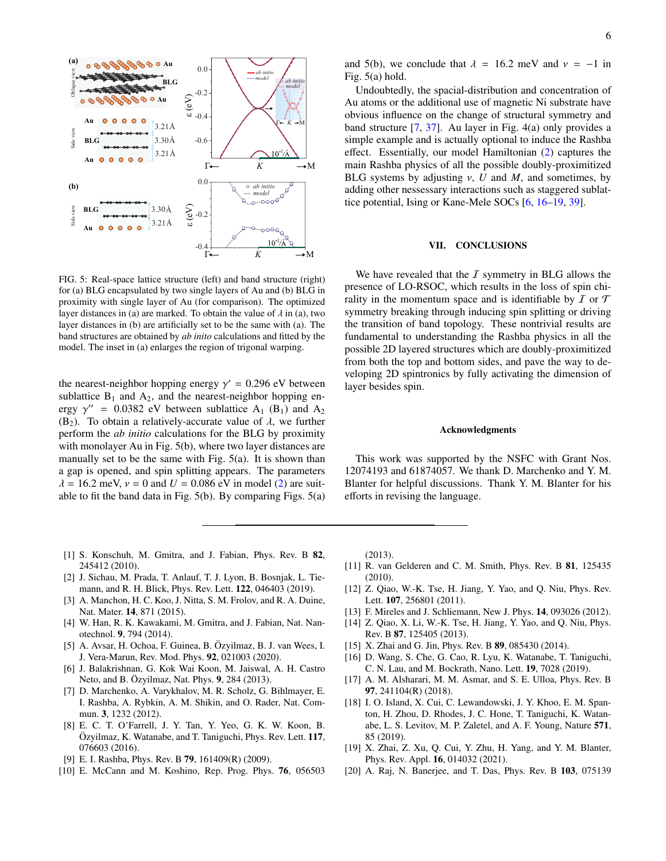

FIG. 5: Real-space lattice structure (left) and band structure (right) for (a) BLG encapsulated by two single layers of Au and (b) BLG in proximity with single layer of Au (for comparison). The optimized layer distances in (a) are marked. To obtain the value of  $\lambda$  in (a), two layer distances in (b) are artificially set to be the same with (a). The band structures are obtained by *ab inito* calculations and fitted by the model. The inset in (a) enlarges the region of trigonal warping.

the nearest-neighbor hopping energy  $\gamma' = 0.296$  eV between<br>sublattice B, and A<sub>2</sub>, and the nearest-neighbor hopping ensublattice  $B_1$  and  $A_2$ , and the nearest-neighbor hopping energy  $\gamma'' = 0.0382$  eV between sublattice A<sub>1</sub> (B<sub>1</sub>) and A<sub>2</sub> (B<sub>2</sub>). To obtain a relatively-accurate value of  $\lambda$  we further (B<sub>2</sub>). To obtain a relatively-accurate value of  $\lambda$ , we further perform the *ab initio* calculations for the BLG by proximity with monolayer Au in Fig. 5(b), where two layer distances are manually set to be the same with Fig. 5(a). It is shown than a gap is opened, and spin splitting appears. The parameters  $\lambda = 16.2$  meV,  $v = 0$  and  $U = 0.086$  eV in model [\(2\)](#page-1-1) are suitable to fit the band data in Fig. 5(b). By comparing Figs. 5(a)

and 5(b), we conclude that  $\lambda = 16.2$  meV and  $\nu = -1$  in Fig. 5(a) hold.

Undoubtedly, the spacial-distribution and concentration of Au atoms or the additional use of magnetic Ni substrate have obvious influence on the change of structural symmetry and band structure [\[7,](#page-5-5) [37\]](#page-6-15). Au layer in Fig. 4(a) only provides a simple example and is actually optional to induce the Rashba effect. Essentially, our model Hamiltonian [\(2\)](#page-1-1) captures the main Rashba physics of all the possible doubly-proximitized BLG systems by adjusting  $\nu$ , *U* and *M*, and sometimes, by adding other nessessary interactions such as staggered sublattice potential, Ising or Kane-Mele SOCs [\[6,](#page-5-4) [16](#page-5-13)[–19,](#page-5-16) [39\]](#page-6-17).

### VII. CONCLUSIONS

We have revealed that the  $I$  symmetry in BLG allows the presence of LO-RSOC, which results in the loss of spin chirality in the momentum space and is identifiable by  $I$  or  $T$ symmetry breaking through inducing spin splitting or driving the transition of band topology. These nontrivial results are fundamental to understanding the Rashba physics in all the possible 2D layered structures which are doubly-proximitized from both the top and bottom sides, and pave the way to developing 2D spintronics by fully activating the dimension of layer besides spin.

#### Acknowledgments

This work was supported by the NSFC with Grant Nos. 12074193 and 61874057. We thank D. Marchenko and Y. M. Blanter for helpful discussions. Thank Y. M. Blanter for his efforts in revising the language.

- <span id="page-5-0"></span>[1] S. Konschuh, M. Gmitra, and J. Fabian, Phys. Rev. B 82, 245412 (2010).
- <span id="page-5-1"></span>[2] J. Sichau, M. Prada, T. Anlauf, T. J. Lyon, B. Bosnjak, L. Tiemann, and R. H. Blick, Phys. Rev. Lett. 122, 046403 (2019).
- <span id="page-5-2"></span>[3] A. Manchon, H. C. Koo, J. Nitta, S. M. Frolov, and R. A. Duine, Nat. Mater. 14, 871 (2015).
- <span id="page-5-12"></span>[4] W. Han, R. K. Kawakami, M. Gmitra, and J. Fabian, Nat. Nanotechnol. 9, 794 (2014).
- <span id="page-5-3"></span>[5] A. Avsar, H. Ochoa, F. Guinea, B. Özyilmaz, B. J. van Wees, I. J. Vera-Marun, Rev. Mod. Phys. 92, 021003 (2020).
- <span id="page-5-4"></span>[6] J. Balakrishnan, G. Kok Wai Koon, M. Jaiswal, A. H. Castro Neto, and B. Özyilmaz, Nat. Phys.  $9$ , 284 (2013).
- <span id="page-5-5"></span>[7] D. Marchenko, A. Varykhalov, M. R. Scholz, G. Bihlmayer, E. I. Rashba, A. Rybkin, A. M. Shikin, and O. Rader, Nat. Commun. 3, 1232 (2012).
- <span id="page-5-6"></span>[8] E. C. T. O'Farrell, J. Y. Tan, Y. Yeo, G. K. W. Koon, B. Özyilmaz, K. Watanabe, and T. Taniguchi, Phys. Rev. Lett. 117, 076603 (2016).
- <span id="page-5-7"></span>[9] E. I. Rashba, Phys. Rev. B 79, 161409(R) (2009).
- <span id="page-5-8"></span>[10] E. McCann and M. Koshino, Rep. Prog. Phys. **76**, 056503

(2013).

- <span id="page-5-9"></span>[11] R. van Gelderen and C. M. Smith, Phys. Rev. B 81, 125435 (2010).
- <span id="page-5-18"></span>[12] Z. Qiao, W.-K. Tse, H. Jiang, Y. Yao, and Q. Niu, Phys. Rev. Lett. 107, 256801 (2011).
- [13] F. Mireles and J. Schliemann, New J. Phys. **14**, 093026 (2012).
- <span id="page-5-10"></span>[14] Z. Qiao, X. Li, W.-K. Tse, H. Jiang, Y. Yao, and Q. Niu, Phys. Rev. B 87, 125405 (2013).
- <span id="page-5-11"></span>[15] X. Zhai and G. Jin, Phys. Rev. B **89**, 085430 (2014).
- <span id="page-5-13"></span>[16] D. Wang, S. Che, G. Cao, R. Lyu, K. Watanabe, T. Taniguchi, C. N. Lau, and M. Bockrath, Nano. Lett. 19, 7028 (2019).
- <span id="page-5-14"></span>[17] A. M. Alsharari, M. M. Asmar, and S. E. Ulloa, Phys. Rev. B 97, 241104(R) (2018).
- <span id="page-5-15"></span>[18] I. O. Island, X. Cui, C. Lewandowski, J. Y. Khoo, E. M. Spanton, H. Zhou, D. Rhodes, J. C. Hone, T. Taniguchi, K. Watanabe, L. S. Levitov, M. P. Zaletel, and A. F. Young, Nature 571, 85 (2019).
- <span id="page-5-16"></span>[19] X. Zhai, Z. Xu, Q. Cui, Y. Zhu, H. Yang, and Y. M. Blanter, Phys. Rev. Appl. 16, 014032 (2021).
- <span id="page-5-17"></span>[20] A. Raj, N. Banerjee, and T. Das, Phys. Rev. B 103, 075139